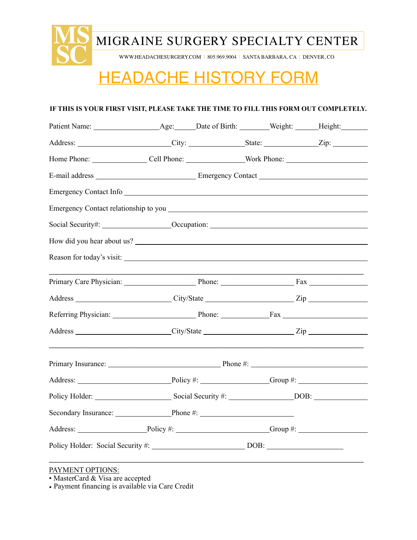

# HEADACHE HISTORY FORM

### **IF THIS IS YOUR FIRST VISIT, PLEASE TAKE THE TIME TO FILL THIS FORM OUT COMPLETELY.**

| Address: ________________________City: _________________State: ________________Zip: ________________ |  |  |
|------------------------------------------------------------------------------------------------------|--|--|
|                                                                                                      |  |  |
|                                                                                                      |  |  |
| Emergency Contact Info                                                                               |  |  |
|                                                                                                      |  |  |
| Social Security#: ____________________Occupation: ______________________________                     |  |  |
|                                                                                                      |  |  |
|                                                                                                      |  |  |
|                                                                                                      |  |  |
|                                                                                                      |  |  |
|                                                                                                      |  |  |
|                                                                                                      |  |  |
|                                                                                                      |  |  |
|                                                                                                      |  |  |
|                                                                                                      |  |  |
| Secondary Insurance: Phone #: Phone #:                                                               |  |  |
|                                                                                                      |  |  |
| Policy Holder: Social Security #: ________________________________DOB: _____________________________ |  |  |
|                                                                                                      |  |  |

## PAYMENT OPTIONS:

• MasterCard & Visa are accepted

• Payment financing is available via Care Credit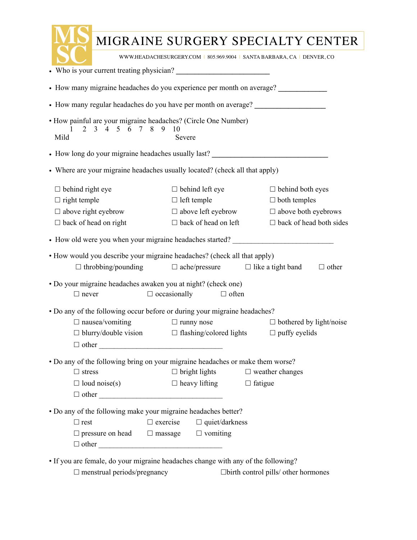|                                                                                                                                                                                                                                                                                                                      |                                                                                                          | MIGRAINE SURGERY SPECIALTY CENTER                                                                              |  |  |  |
|----------------------------------------------------------------------------------------------------------------------------------------------------------------------------------------------------------------------------------------------------------------------------------------------------------------------|----------------------------------------------------------------------------------------------------------|----------------------------------------------------------------------------------------------------------------|--|--|--|
| WWW.HEADACHESURGERY.COM   805.969.9004   SANTA BARBARA, CA   DENVER, CO                                                                                                                                                                                                                                              |                                                                                                          |                                                                                                                |  |  |  |
| • Who is your current treating physician?                                                                                                                                                                                                                                                                            |                                                                                                          |                                                                                                                |  |  |  |
| • How many migraine headaches do you experience per month on average?                                                                                                                                                                                                                                                |                                                                                                          |                                                                                                                |  |  |  |
| • How many regular headaches do you have per month on average? _________________                                                                                                                                                                                                                                     |                                                                                                          |                                                                                                                |  |  |  |
| · How painful are your migraine headaches? (Circle One Number)<br>2 3 4 5 6 7 8<br>9<br>Mild                                                                                                                                                                                                                         | 10<br>Severe                                                                                             |                                                                                                                |  |  |  |
| • How long do your migraine headaches usually last?                                                                                                                                                                                                                                                                  |                                                                                                          |                                                                                                                |  |  |  |
| • Where are your migraine headaches usually located? (check all that apply)                                                                                                                                                                                                                                          |                                                                                                          |                                                                                                                |  |  |  |
| $\Box$ behind right eye<br>$\Box$ right temple<br>$\Box$ above right eyebrow<br>$\Box$ back of head on right                                                                                                                                                                                                         | $\Box$ behind left eye<br>$\Box$ left temple<br>$\Box$ above left eyebrow<br>$\Box$ back of head on left | $\Box$ behind both eyes<br>$\Box$ both temples<br>$\Box$ above both eyebrows<br>$\Box$ back of head both sides |  |  |  |
| • How old were you when your migraine headaches started?                                                                                                                                                                                                                                                             |                                                                                                          |                                                                                                                |  |  |  |
| • How would you describe your migraine headaches? (check all that apply)<br>$\Box$ throbbing/pounding                                                                                                                                                                                                                | $\Box$ ache/pressure $\Box$ like a tight band                                                            | $\Box$ other                                                                                                   |  |  |  |
| · Do your migraine headaches awaken you at night? (check one)<br>$\Box$ never                                                                                                                                                                                                                                        | $\Box$ occasionally<br>$\Box$ often                                                                      |                                                                                                                |  |  |  |
| • Do any of the following occur before or during your migraine headaches?<br>$\Box$ nausea/vomiting<br>$\Box$ blurry/double vision $\Box$ flashing/colored lights $\Box$ puffy eyelids                                                                                                                               | $\Box$ runny nose                                                                                        | $\Box$ bothered by light/noise                                                                                 |  |  |  |
| • Do any of the following bring on your migraine headaches or make them worse?                                                                                                                                                                                                                                       |                                                                                                          |                                                                                                                |  |  |  |
| $\Box$ stress                                                                                                                                                                                                                                                                                                        | $\Box$ bright lights $\Box$ weather changes                                                              |                                                                                                                |  |  |  |
| $\Box$ loud noise(s)                                                                                                                                                                                                                                                                                                 | $\Box$ heavy lifting $\Box$ fatigue                                                                      |                                                                                                                |  |  |  |
| • Do any of the following make your migraine headaches better?                                                                                                                                                                                                                                                       |                                                                                                          |                                                                                                                |  |  |  |
| $\Box$ rest                                                                                                                                                                                                                                                                                                          | $\Box$ exercise $\Box$ quiet/darkness                                                                    |                                                                                                                |  |  |  |
| $\Box$ pressure on head $\Box$ massage $\Box$ vomiting                                                                                                                                                                                                                                                               |                                                                                                          |                                                                                                                |  |  |  |
| • If you are female, do your migraine headaches change with any of the following?<br>$\Box$ is a set of the set of the set of the set of the set of the set of the set of the set of the set of the set of the set of the set of the set of the set of the set of the set of the set of the set of the set of the se |                                                                                                          |                                                                                                                |  |  |  |

☐ menstrual periods/pregnancy ☐birth control pills/ other hormones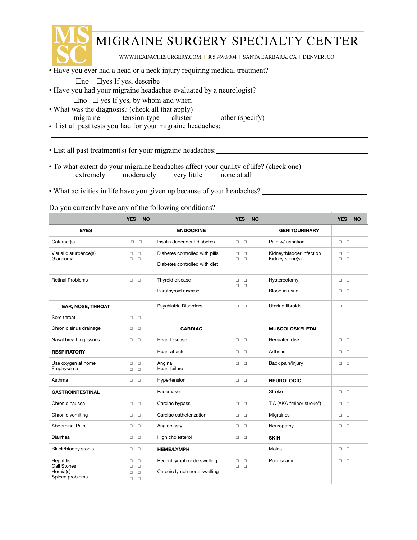

 $\overline{a}$ 

# MIGRAINE SURGERY SPECIALTY CENTER

<u> 1980 - Johann Barbara, martxa alemaniar a</u>

the control of the control of the control of the control of the control of

WWW.HEADACHESURGERY.COM | 805.969.9004 | SANTA BARBARA, CA | DENVER, CO

- Have you ever had a head or a neck injury requiring medical treatment?
	- $\Box$ no  $\Box$ yes If yes, describe  $\Box$
- Have you had your migraine headaches evaluated by a neurologist?
	- $\Box$ no  $\Box$  yes If yes, by whom and when
- What was the diagnosis? (check all that apply)
	- migraine tension-type cluster other (specify)
- List all past tests you had for your migraine headaches:  $\overline{a}$

• List all past treatment(s) for your migraine headaches:

- $\overline{a}$ • To what extent do your migraine headaches affect your quality of life? (check one) extremely moderately very little none at all
- What activities in life have you given up because of your headaches?

|  |  |  |  | Do you currently have any of the following conditions? |  |
|--|--|--|--|--------------------------------------------------------|--|
|  |  |  |  |                                                        |  |

|                                                                        | <b>YES</b><br><b>NO</b>                                                 |                                                                 | <b>YES</b><br><b>NO</b>              |                                             | <b>YES</b><br><b>NO</b>                            |
|------------------------------------------------------------------------|-------------------------------------------------------------------------|-----------------------------------------------------------------|--------------------------------------|---------------------------------------------|----------------------------------------------------|
| <b>EYES</b>                                                            |                                                                         | <b>ENDOCRINE</b>                                                |                                      | <b>GENITOURINARY</b>                        |                                                    |
| Cataract(s)                                                            | П<br>$\Box$                                                             | Insulin dependent diabetes                                      | $\Box$ $\Box$                        | Pain w/ urination                           | n <sub>n</sub>                                     |
| Visual disturbance(s)<br>Glaucoma                                      | $\Box$<br>$\Box$<br>$\Box$<br>$\Box$                                    | Diabetes controlled with pills<br>Diabetes controlled with diet | $\Box$<br>$\Box$<br>$\Box$<br>$\Box$ | Kidney/bladder infection<br>Kidney stone(s) | $\Box$<br>$\Box$<br>$\Box$<br>$\Box$               |
| <b>Retinal Problems</b>                                                | $\Box$ $\Box$                                                           | Thyroid disease<br>Parathyroid disease                          | о<br>$\Box$<br>$\Box$<br>$\Box$      | Hysterectomy<br>Blood in urine              | $\Box$ $\Box$<br>$\Box$<br>$\Box$                  |
| EAR, NOSE, THROAT                                                      |                                                                         | <b>Psychiatric Disorders</b>                                    | $\Box$ $\Box$                        | Uterine fibroids                            | $\Box$ $\Box$                                      |
| Sore throat                                                            | $\Box$ $\Box$                                                           |                                                                 |                                      |                                             |                                                    |
| Chronic sinus drainage                                                 | $\Box$<br>$\Box$                                                        | <b>CARDIAC</b>                                                  |                                      | <b>MUSCOLOSKELETAL</b>                      |                                                    |
| Nasal breathing issues                                                 | $\Box$ $\Box$                                                           | <b>Heart Disease</b>                                            | $\Box$<br>$\Box$                     | Herniated disk                              | $\Box$ $\Box$                                      |
| <b>RESPIRATORY</b>                                                     |                                                                         | Heart attack                                                    | $\Box$<br>$\Box$                     | Arthritis                                   | $\Box$ $\Box$                                      |
| Use oxygen at home<br>Emphysema                                        | $\Box$<br>$\Box$<br>$\Box$ $\Box$                                       | Angina<br>Heart failure                                         | $\Box$<br>$\Box$                     | Back pain/injury                            | $\Box$ $\Box$                                      |
| Asthma                                                                 | $\Box$ $\Box$                                                           | Hypertension                                                    | $\Box$ $\Box$                        | <b>NEUROLOGIC</b>                           |                                                    |
| <b>GASTROINTESTINAL</b>                                                |                                                                         | Pacemaker                                                       |                                      | Stroke                                      | $\Box$ $\Box$                                      |
| Chronic nausea                                                         | $\Box$ $\Box$                                                           | Cardiac bypass                                                  | $\Box$<br>$\Box$                     | TIA (AKA "minor stroke")                    | $\Box$ $\Box$                                      |
| Chronic vomiting                                                       | $\Box$<br>$\Box$                                                        | Cardiac catheterization                                         | $\Box$<br>$\Box$                     | Migraines                                   | $\Box$<br>$\Box$                                   |
| Abdominal Pain                                                         | $\Box$<br>$\Box$                                                        | Angioplasty                                                     | $\Box$<br>$\Box$                     | Neuropathy                                  | $\begin{array}{ccc} \square & \square \end{array}$ |
| Diarrhea                                                               | $\Box$<br>$\Box$                                                        | High cholesterol                                                | $\Box$<br>$\Box$                     | <b>SKIN</b>                                 |                                                    |
| Black/bloody stools                                                    | $\Box$<br>$\Box$                                                        | <b>HEME/LYMPH</b>                                               |                                      | Moles                                       | $\Box$ $\Box$                                      |
| <b>Hepatitis</b><br><b>Gall Stones</b><br>Hernia(s)<br>Spleen problems | $\Box$<br>о<br>$\Box$<br>$\Box$<br>$\Box$<br>$\Box$<br>$\Box$<br>$\Box$ | Recent lymph node swelling<br>Chronic lymph node swelling       | □<br>$\Box$<br>$\Box$<br>$\Box$      | Poor scarring                               | $\Box$ $\Box$                                      |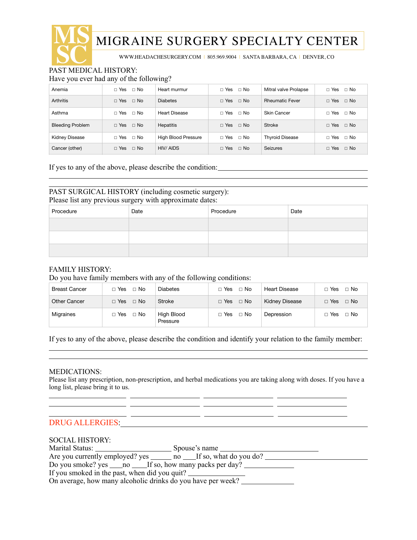

 $\overline{a}$ 

# MIGRAINE SURGERY SPECIALTY CENTER

<u> 1989 - Johann Barn, amerikansk politiker (d. 1989)</u>

WWW.HEADACHESURGERY.COM | 805.969.9004 | SANTA BARBARA, CA | DENVER, CO

Have you ever had any of the following?

| Anemia                  | $\Box$ Yes $\Box$ No     | Heart murmur               | □ Yes<br>$\Box$ No        | Mitral valve Prolapse  | $\Box$ Yes $\Box$ No      |
|-------------------------|--------------------------|----------------------------|---------------------------|------------------------|---------------------------|
| <b>Arthritis</b>        | $\Box$ Yes $\Box$ No     | <b>Diabetes</b>            | $\Box$ Yes $\Box$ No      | <b>Rheumatic Fever</b> | $\Box$ Yes $\Box$ No      |
| Asthma                  | $\sqcap$ Yes $\sqcap$ No | <b>Heart Disease</b>       | $\Box$ Yes $\Box$ No      | Skin Cancer            | ⊟ No<br>$\sqcap$ Yes      |
| <b>Bleeding Problem</b> | $\Box$ Yes $\Box$ No     | <b>Hepatitis</b>           | $\Box$ Yes<br>$\Box$ No   | <b>Stroke</b>          | $\Box$ Yes<br>$\Box$ No   |
| <b>Kidney Disease</b>   | $\Box$ Yes $\Box$ No     | <b>High Blood Pressure</b> | □ Yes<br>⊟ No             | <b>Thyroid Disease</b> | $\Box$ Yes $\Box$ No      |
| Cancer (other)          | $\Box$ Yes $\Box$ No     | HIV/AIDS                   | $\sqcap$ Yes<br>$\Box$ No | <b>Seizures</b>        | $\sqcap$ Yes<br>$\Box$ No |

If yes to any of the above, please describe the condition:

#### $\overline{a}$ PAST SURGICAL HISTORY (including cosmetic surgery): Please list any previous surgery with approximate dates:

| Procedure | Date | Procedure | Date |
|-----------|------|-----------|------|
|           |      |           |      |
|           |      |           |      |
|           |      |           |      |

#### FAMILY HISTORY:

Do you have family members with any of the following conditions:

| <b>Breast Cancer</b> | $\sqcap$ No<br>$\sqcap$ Yes | Diabetes               | $\Box$ No<br>$\Box$ Yes | Heart Disease         | $\sqcap$ Yes<br>$\Box$ No |
|----------------------|-----------------------------|------------------------|-------------------------|-----------------------|---------------------------|
| Other Cancer         | $\Box$ No<br>$\Box$ Yes     | Stroke                 | $\Box$ No<br>$\Box$ Yes | <b>Kidney Disease</b> | $\Box$ Yes<br>$\Box$ No   |
| Migraines            | ⊟ No<br>□ Yes               | High Blood<br>Pressure | $\Box$ No<br>$\Box$ Yes | Depression            | $\Box$ No<br>$\sqcap$ Yes |

If yes to any of the above, please describe the condition and identify your relation to the family member:

<u> 1989 - Andrea Andrew Maria (h. 1989).</u>

#### MEDICATIONS:

 $\overline{a}$ 

 $\overline{a}$  $\overline{a}$  $\overline{a}$ 

Please list any prescription, non-prescription, and herbal medications you are taking along with doses. If you have a long list, please bring it to us.

<u> 1999 - Jan James James, politik ingles (h. 1918).</u>

## DRUG ALLERGIES:

#### SOCIAL HISTORY:

|                                                                                  | Spouse's name |
|----------------------------------------------------------------------------------|---------------|
| Are you currently employed? yes _______ no ____If so, what do you do?            |               |
| Do you smoke? yes ______ no _______If so, how many packs per day? ______________ |               |
| If you smoked in the past, when did you quit?                                    |               |
| On average, how many alcoholic drinks do you have per week?                      |               |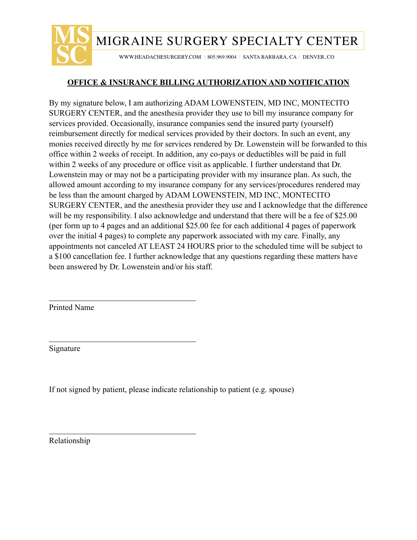

## **OFFICE & INSURANCE BILLING AUTHORIZATION AND NOTIFICATION**

By my signature below, I am authorizing ADAM LOWENSTEIN, MD INC, MONTECITO SURGERY CENTER, and the anesthesia provider they use to bill my insurance company for services provided. Occasionally, insurance companies send the insured party (yourself) reimbursement directly for medical services provided by their doctors. In such an event, any monies received directly by me for services rendered by Dr. Lowenstein will be forwarded to this office within 2 weeks of receipt. In addition, any co-pays or deductibles will be paid in full within 2 weeks of any procedure or office visit as applicable. I further understand that Dr. Lowenstein may or may not be a participating provider with my insurance plan. As such, the allowed amount according to my insurance company for any services/procedures rendered may be less than the amount charged by ADAM LOWENSTEIN, MD INC, MONTECITO SURGERY CENTER, and the anesthesia provider they use and I acknowledge that the difference will be my responsibility. I also acknowledge and understand that there will be a fee of \$25.00 (per form up to 4 pages and an additional \$25.00 fee for each additional 4 pages of paperwork over the initial 4 pages) to complete any paperwork associated with my care. Finally, any appointments not canceled AT LEAST 24 HOURS prior to the scheduled time will be subject to a \$100 cancellation fee. I further acknowledge that any questions regarding these matters have been answered by Dr. Lowenstein and/or his staff.

Printed Name

 $\overline{a}$ 

 $\overline{a}$ 

 $\overline{a}$ 

Signature

If not signed by patient, please indicate relationship to patient (e.g. spouse)

Relationship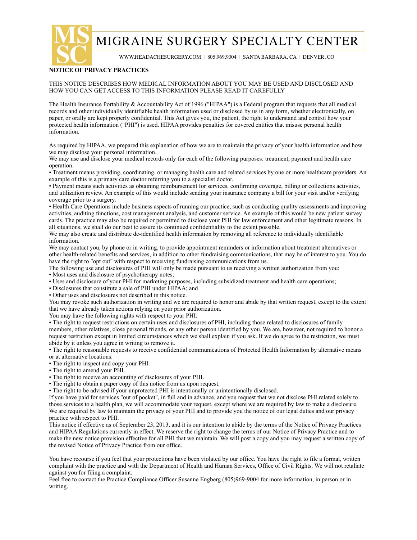**MS** MIGRAINE SURGERY SPECIALTY CENTER

WWW.HEADACHESURGERY.COM | 805.969.9004 | SANTA BARBARA, CA | DENVER, CO

# **SC NOTICE OF PRIVACY PRACTICES**

#### THIS NOTICE DESCRIBES HOW MEDICAL INFORMATION ABOUT YOU MAY BE USED AND DISCLOSED AND HOW YOU CAN GET ACCESS TO THIS INFORMATION PLEASE READ IT CAREFULLY

The Health Insurance Portability & Accountability Act of 1996 ("HIPAA") is a Federal program that requests that all medical records and other individually identifiable health information used or disclosed by us in any form, whether electronically, on paper, or orally are kept properly confidential. This Act gives you, the patient, the right to understand and control how your protected health information ("PHI") is used. HIPAA provides penalties for covered entities that misuse personal health information.

As required by HIPAA, we prepared this explanation of how we are to maintain the privacy of your health information and how we may disclose your personal information.

We may use and disclose your medical records only for each of the following purposes: treatment, payment and health care operation.

• Treatment means providing, coordinating, or managing health care and related services by one or more healthcare providers. An example of this is a primary care doctor referring you to a specialist doctor.

• Payment means such activities as obtaining reimbursement for services, confirming coverage, billing or collections activities, and utilization review. An example of this would include sending your insurance company a bill for your visit and/or verifying coverage prior to a surgery.

• Health Care Operations include business aspects of running our practice, such as conducting quality assessments and improving activities, auditing functions, cost management analysis, and customer service. An example of this would be new patient survey cards. The practice may also be required or permitted to disclose your PHI for law enforcement and other legitimate reasons. In all situations, we shall do our best to assure its continued confidentiality to the extent possible.

We may also create and distribute de-identified health information by removing all reference to individually identifiable information.

We may contact you, by phone or in writing, to provide appointment reminders or information about treatment alternatives or other health-related benefits and services, in addition to other fundraising communications, that may be of interest to you. You do have the right to "opt out" with respect to receiving fundraising communications from us.

The following use and disclosures of PHI will only be made pursuant to us receiving a written authorization from you:

• Most uses and disclosure of psychotherapy notes;

• Uses and disclosure of your PHI for marketing purposes, including subsidized treatment and health care operations;

• Disclosures that constitute a sale of PHI under HIPAA; and

• Other uses and disclosures not described in this notice.

You may revoke such authorization in writing and we are required to honor and abide by that written request, except to the extent that we have already taken actions relying on your prior authorization.

You may have the following rights with respect to your PHI:

• The right to request restrictions on certain uses and disclosures of PHI, including those related to disclosures of family members, other relatives, close personal friends, or any other person identified by you. We are, however, not required to honor a request restriction except in limited circumstances which we shall explain if you ask. If we do agree to the restriction, we must abide by it unless you agree in writing to remove it.

• The right to reasonable requests to receive confidential communications of Protected Health Information by alternative means or at alternative locations.

• The right to inspect and copy your PHI.

• The right to amend your PHI.

• The right to receive an accounting of disclosures of your PHI.

- The right to obtain a paper copy of this notice from us upon request.
- The right to be advised if your unprotected PHI is intentionally or unintentionally disclosed.

If you have paid for services "out of pocket", in full and in advance, and you request that we not disclose PHI related solely to those services to a health plan, we will accommodate your request, except where we are required by law to make a disclosure. We are required by law to maintain the privacy of your PHI and to provide you the notice of our legal duties and our privacy practice with respect to PHI.

This notice if effective as of September 23, 2013, and it is our intention to abide by the terms of the Notice of Privacy Practices and HIPAA Regulations currently in effect. We reserve the right to change the terms of our Notice of Privacy Practice and to make the new notice provision effective for all PHI that we maintain. We will post a copy and you may request a written copy of the revised Notice of Privacy Practice from our office.

You have recourse if you feel that your protections have been violated by our office. You have the right to file a formal, written complaint with the practice and with the Department of Health and Human Services, Office of Civil Rights. We will not retaliate against you for filing a complaint.

Feel free to contact the Practice Compliance Officer Susanne Engberg (805)969-9004 for more information, in person or in writing.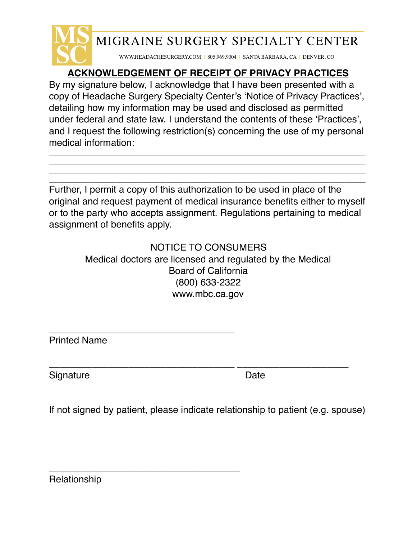

# **ACKNOWLEDGEMENT OF RECEIPT OF PRIVACY PRACTICES**

By my signature below, I acknowledge that I have been presented with a copy of Headache Surgery Specialty Center's 'Notice of Privacy Practices', detailing how my information may be used and disclosed as permitted under federal and state law. I understand the contents of these 'Practices', and I request the following restriction(s) concerning the use of my personal medical information:

\_\_\_\_\_\_\_\_\_\_\_\_\_\_\_\_\_\_\_\_\_\_\_\_\_\_\_\_\_\_\_\_\_\_\_\_\_\_\_\_\_\_\_\_\_\_\_\_\_\_\_\_\_\_\_\_\_\_\_\_\_\_\_\_\_\_\_\_\_\_\_\_\_\_\_\_ \_\_\_\_\_\_\_\_\_\_\_\_\_\_\_\_\_\_\_\_\_\_\_\_\_\_\_\_\_\_\_\_\_\_\_\_\_\_\_\_\_\_\_\_\_\_\_\_\_\_\_\_\_\_\_\_\_\_\_\_\_\_\_\_\_\_\_\_\_\_\_\_\_\_\_\_ \_\_\_\_\_\_\_\_\_\_\_\_\_\_\_\_\_\_\_\_\_\_\_\_\_\_\_\_\_\_\_\_\_\_\_\_\_\_\_\_\_\_\_\_\_\_\_\_\_\_\_\_\_\_\_\_\_\_\_\_\_\_\_\_\_\_\_\_\_\_\_\_\_\_\_\_ \_\_\_\_\_\_\_\_\_\_\_\_\_\_\_\_\_\_\_\_\_\_\_\_\_\_\_\_\_\_\_\_\_\_\_\_\_\_\_\_\_\_\_\_\_\_\_\_\_\_\_\_\_\_\_\_\_\_\_\_\_\_\_\_\_\_\_\_\_\_\_\_\_\_\_\_

Further, I permit a copy of this authorization to be used in place of the original and request payment of medical insurance benefits either to myself or to the party who accepts assignment. Regulations pertaining to medical assignment of benefits apply.

# NOTICE TO CONSUMERS Medical doctors are licensed and regulated by the Medical Board of California (800) 633-2322 [www.mbc.ca.gov](http://www.mbc.ca.gov)

Printed Name

\_\_\_\_\_\_\_\_\_\_\_\_\_\_\_\_\_\_\_\_\_\_\_\_\_\_\_\_\_\_\_\_\_\_\_

\_\_\_\_\_\_\_\_\_\_\_\_\_\_\_\_\_\_\_\_\_\_\_\_\_\_\_\_\_\_\_\_\_\_\_\_

Signature Date

\_\_\_\_\_\_\_\_\_\_\_\_\_\_\_\_\_\_\_\_\_\_\_\_\_\_\_\_\_\_\_\_\_\_\_ \_\_\_\_\_\_\_\_\_\_\_\_\_\_\_\_\_\_\_\_\_

If not signed by patient, please indicate relationship to patient (e.g. spouse)

Relationship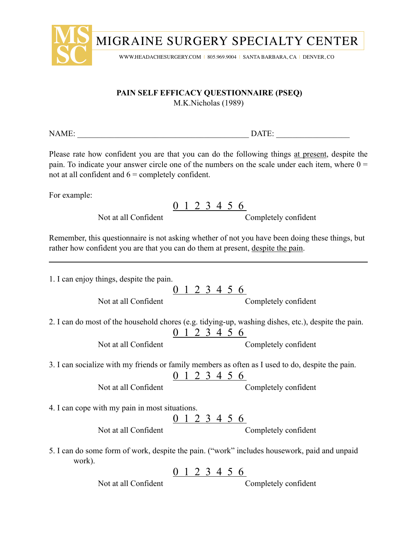

## **PAIN SELF EFFICACY QUESTIONNAIRE (PSEQ)**

M.K.Nicholas (1989)

NAME: \_\_\_\_\_\_\_\_\_\_\_\_\_\_\_\_\_\_\_\_\_\_\_\_\_\_\_\_\_\_\_\_\_\_\_\_\_\_\_\_\_\_ DATE: \_\_\_\_\_\_\_\_\_\_\_\_\_\_\_\_\_\_

Please rate how confident you are that you can do the following things at present, despite the pain. To indicate your answer circle one of the numbers on the scale under each item, where  $0 =$ not at all confident and  $6 =$  completely confident.

For example:

0 1 2 3 4 5 6

Not at all Confident Completely confident

Remember, this questionnaire is not asking whether of not you have been doing these things, but rather how confident you are that you can do them at present, despite the pain.

| 1. I can enjoy things, despite the pain.       |                                                                                                                             |
|------------------------------------------------|-----------------------------------------------------------------------------------------------------------------------------|
| Not at all Confident                           | <u>0 1 2 3 4 5 6</u><br>Completely confident                                                                                |
|                                                | 2. I can do most of the household chores (e.g. tidying-up, washing dishes, etc.), despite the pain.<br><u>0 1 2 3 4 5 6</u> |
| Not at all Confident                           | Completely confident                                                                                                        |
|                                                | 3. I can socialize with my friends or family members as often as I used to do, despite the pain.<br>$0$ 1 2 3 4 5 6         |
| Not at all Confident                           | Completely confident                                                                                                        |
| 4. I can cope with my pain in most situations. |                                                                                                                             |
| Not at all Confident                           | <u>0 1 2 3 4 5 6</u><br>Completely confident                                                                                |
| work).                                         | 5. I can do some form of work, despite the pain. ("work" includes housework, paid and unpaid                                |
|                                                | 0 1 2 3 4 5 6                                                                                                               |
| Not at all Confident                           | Completely confident                                                                                                        |